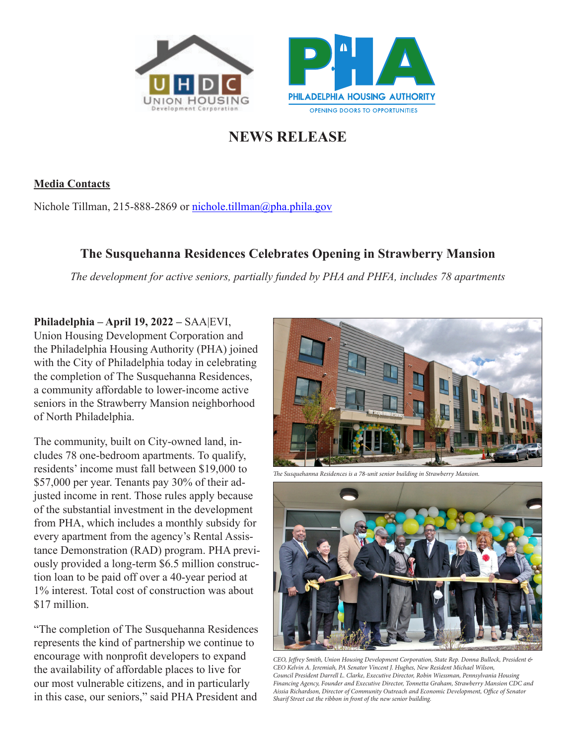



## **NEWS RELEASE**

**Media Contacts**

Nichole Tillman, 215-888-2869 or nichole.tillman@pha.phila.gov

## **The Susquehanna Residences Celebrates Opening in Strawberry Mansion**

*The development for active seniors, partially funded by PHA and PHFA, includes 78 apartments*

## **Philadelphia – April 19, 2022 –** SAA|EVI,

Union Housing Development Corporation and the Philadelphia Housing Authority (PHA) joined with the City of Philadelphia today in celebrating the completion of The Susquehanna Residences, a community affordable to lower-income active seniors in the Strawberry Mansion neighborhood of North Philadelphia.

The community, built on City-owned land, includes 78 one-bedroom apartments. To qualify, residents' income must fall between \$19,000 to \$57,000 per year. Tenants pay 30% of their adjusted income in rent. Those rules apply because of the substantial investment in the development from PHA, which includes a monthly subsidy for every apartment from the agency's Rental Assistance Demonstration (RAD) program. PHA previously provided a long-term \$6.5 million construction loan to be paid off over a 40-year period at 1% interest. Total cost of construction was about \$17 million.

"The completion of The Susquehanna Residences represents the kind of partnership we continue to encourage with nonprofit developers to expand the availability of affordable places to live for our most vulnerable citizens, and in particularly in this case, our seniors," said PHA President and



*The Susquehanna Residences is a 78-unit senior building in Strawberry Mansion.*



*CEO, Jeffrey Smith, Union Housing Development Corporation, State Rep. Donna Bullock, President & CEO Kelvin A. Jeremiah, PA Senator Vincent J. Hughes, New Resident Michael Wilson, Council President Darrell L. Clarke, Executive Director, Robin Wiessman, Pennsylvania Housing Financing Agency, Founder and Executive Director, Tonnetta Graham, Strawberry Mansion CDC and Aissia Richardson, Director of Community Outreach and Economic Development, Office of Senator Sharif Street cut the ribbon in front of the new senior building.*